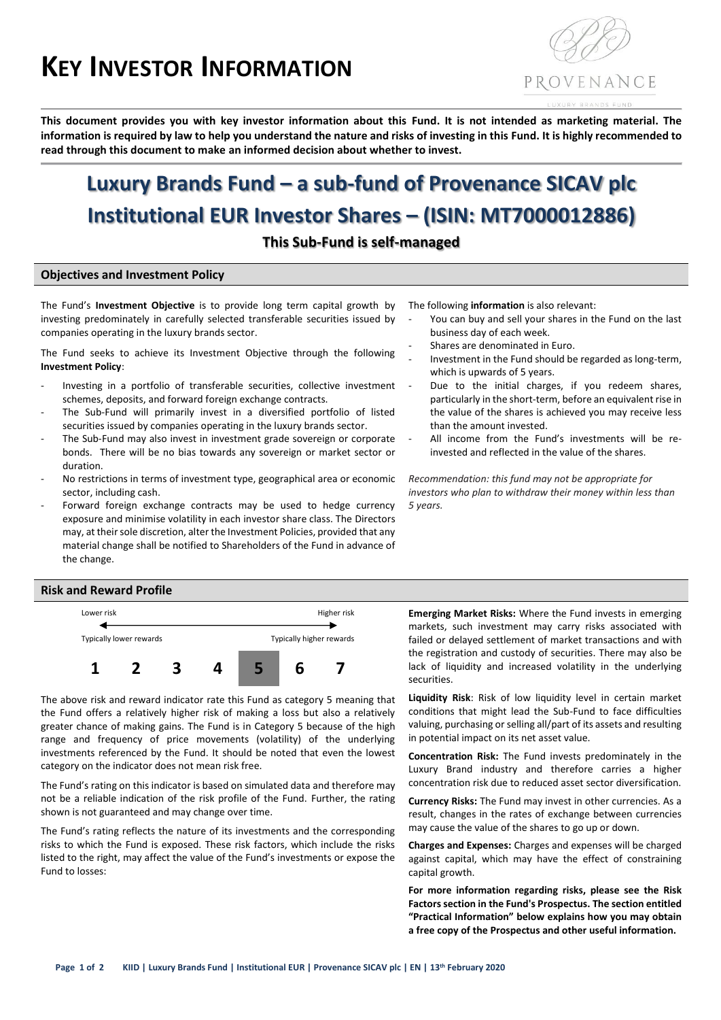# **KEY INVESTOR INFORMATION**



**This document provides you with key investor information about this Fund. It is not intended as marketing material. The information is required by law to help you understand the nature and risks of investing in this Fund. It is highly recommended to read through this document to make an informed decision about whether to invest.**

# **Luxury Brands Fund – a sub-fund of Provenance SICAV plc Institutional EUR Investor Shares – (ISIN: MT7000012886)**

**This Sub-Fund is self-managed**

#### **Objectives and Investment Policy**

The Fund's **Investment Objective** is to provide long term capital growth by investing predominately in carefully selected transferable securities issued by companies operating in the luxury brands sector.

The Fund seeks to achieve its Investment Objective through the following **Investment Policy**:

- Investing in a portfolio of transferable securities, collective investment schemes, deposits, and forward foreign exchange contracts.
- The Sub-Fund will primarily invest in a diversified portfolio of listed securities issued by companies operating in the luxury brands sector.
- The Sub-Fund may also invest in investment grade sovereign or corporate bonds. There will be no bias towards any sovereign or market sector or duration.
- No restrictions in terms of investment type, geographical area or economic sector, including cash.
- Forward foreign exchange contracts may be used to hedge currency exposure and minimise volatility in each investor share class. The Directors may, at their sole discretion, alter the Investment Policies, provided that any material change shall be notified to Shareholders of the Fund in advance of the change.
- The following **information** is also relevant:
- You can buy and sell your shares in the Fund on the last business day of each week.
- Shares are denominated in Euro.
- Investment in the Fund should be regarded as long-term, which is upwards of 5 years.
- Due to the initial charges, if you redeem shares, particularly in the short-term, before an equivalent rise in the value of the shares is achieved you may receive less than the amount invested.
- All income from the Fund's investments will be reinvested and reflected in the value of the shares.

*Recommendation: this fund may not be appropriate for investors who plan to withdraw their money within less than 5 years.*

#### **Risk and Reward Profile**



The above risk and reward indicator rate this Fund as category 5 meaning that the Fund offers a relatively higher risk of making a loss but also a relatively greater chance of making gains. The Fund is in Category 5 because of the high range and frequency of price movements (volatility) of the underlying investments referenced by the Fund. It should be noted that even the lowest category on the indicator does not mean risk free.

The Fund's rating on this indicator is based on simulated data and therefore may not be a reliable indication of the risk profile of the Fund. Further, the rating shown is not guaranteed and may change over time.

The Fund's rating reflects the nature of its investments and the corresponding risks to which the Fund is exposed. These risk factors, which include the risks listed to the right, may affect the value of the Fund's investments or expose the Fund to losses:

**Emerging Market Risks:** Where the Fund invests in emerging markets, such investment may carry risks associated with failed or delayed settlement of market transactions and with the registration and custody of securities. There may also be lack of liquidity and increased volatility in the underlying securities.

**Liquidity Risk**: Risk of low liquidity level in certain market conditions that might lead the Sub-Fund to face difficulties valuing, purchasing or selling all/part of its assets and resulting in potential impact on its net asset value.

**Concentration Risk:** The Fund invests predominately in the Luxury Brand industry and therefore carries a higher concentration risk due to reduced asset sector diversification.

**Currency Risks:** The Fund may invest in other currencies. As a result, changes in the rates of exchange between currencies may cause the value of the shares to go up or down.

**Charges and Expenses:** Charges and expenses will be charged against capital, which may have the effect of constraining capital growth.

**For more information regarding risks, please see the Risk Factors section in the Fund's Prospectus. The section entitled "Practical Information" below explains how you may obtain a free copy of the Prospectus and other useful information.**